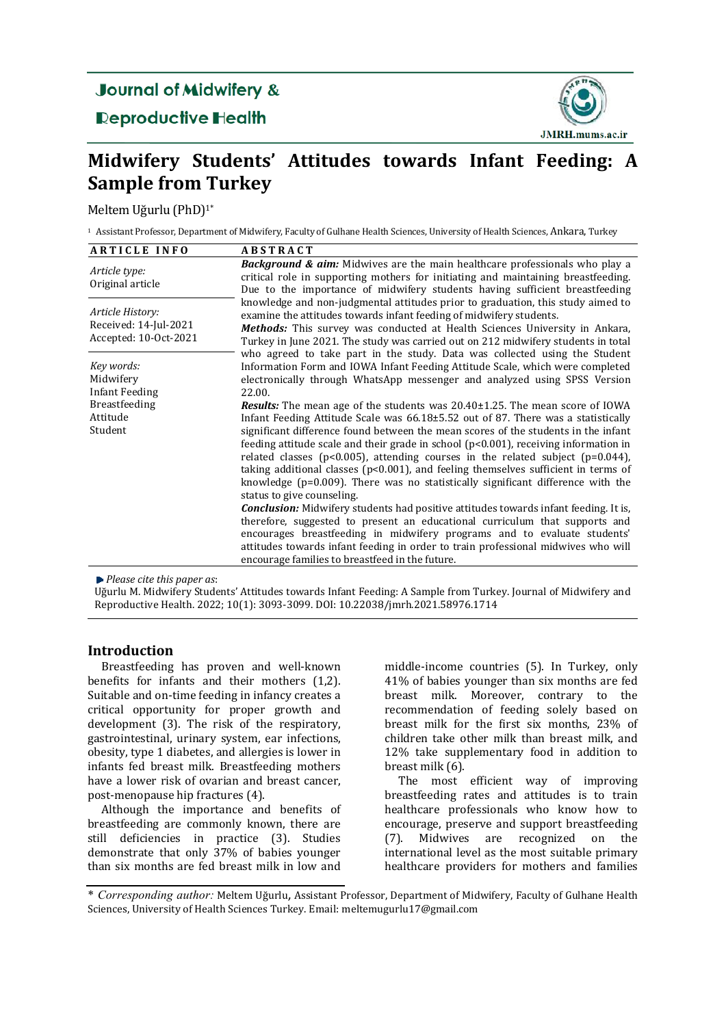# **Journal of Midwifery &**

**Reproductive Health** 



# **Midwifery Students' Attitudes towards Infant Feeding: A Sample from Turkey**

Meltem Uğurlu (PhD)<sup>1\*</sup>

<sup>1</sup> Assistant Professor, Department of Midwifery, Faculty of Gulhane Health Sciences, University of Health Sciences, Ankara, Turkey

| <b>ARTICLE INFO</b>                                                                      | <b>ABSTRACT</b>                                                                                                                                                                                                                                                                                                                                                                                                                                                                                                                                                                                                                                                                                                                                                                                                                                                                                                                                                                                                                                                                                                                                                                                                                                                                                                                       |
|------------------------------------------------------------------------------------------|---------------------------------------------------------------------------------------------------------------------------------------------------------------------------------------------------------------------------------------------------------------------------------------------------------------------------------------------------------------------------------------------------------------------------------------------------------------------------------------------------------------------------------------------------------------------------------------------------------------------------------------------------------------------------------------------------------------------------------------------------------------------------------------------------------------------------------------------------------------------------------------------------------------------------------------------------------------------------------------------------------------------------------------------------------------------------------------------------------------------------------------------------------------------------------------------------------------------------------------------------------------------------------------------------------------------------------------|
| Article type:<br>Original article                                                        | <b>Background &amp; aim:</b> Midwives are the main healthcare professionals who play a<br>critical role in supporting mothers for initiating and maintaining breastfeeding.<br>Due to the importance of midwifery students having sufficient breastfeeding                                                                                                                                                                                                                                                                                                                                                                                                                                                                                                                                                                                                                                                                                                                                                                                                                                                                                                                                                                                                                                                                            |
| Article History:<br>Received: 14-Jul-2021<br>Accepted: 10-Oct-2021                       | knowledge and non-judgmental attitudes prior to graduation, this study aimed to<br>examine the attitudes towards infant feeding of midwifery students.<br><b>Methods:</b> This survey was conducted at Health Sciences University in Ankara,<br>Turkey in June 2021. The study was carried out on 212 midwifery students in total                                                                                                                                                                                                                                                                                                                                                                                                                                                                                                                                                                                                                                                                                                                                                                                                                                                                                                                                                                                                     |
| Key words:<br>Midwifery<br><b>Infant Feeding</b><br>Breastfeeding<br>Attitude<br>Student | who agreed to take part in the study. Data was collected using the Student<br>Information Form and IOWA Infant Feeding Attitude Scale, which were completed<br>electronically through WhatsApp messenger and analyzed using SPSS Version<br>22.00.<br><b>Results:</b> The mean age of the students was $20.40 \pm 1.25$ . The mean score of IOWA<br>Infant Feeding Attitude Scale was $66.18\pm5.52$ out of 87. There was a statistically<br>significant difference found between the mean scores of the students in the infant<br>feeding attitude scale and their grade in school $(p<0.001)$ , receiving information in<br>related classes ( $p<0.005$ ), attending courses in the related subject ( $p=0.044$ ),<br>taking additional classes ( $p<0.001$ ), and feeling themselves sufficient in terms of<br>knowledge ( $p=0.009$ ). There was no statistically significant difference with the<br>status to give counseling.<br><b>Conclusion:</b> Midwifery students had positive attitudes towards infant feeding. It is,<br>therefore, suggested to present an educational curriculum that supports and<br>encourages breastfeeding in midwifery programs and to evaluate students'<br>attitudes towards infant feeding in order to train professional midwives who will<br>encourage families to breastfeed in the future. |

*Please cite this paper as*: 

Uğurlu M. Midwifery Students' Attitudes towards Infant Feeding: A Sample from Turkey. Journal of Midwifery and Reproductive Health. 2022; 10(1): 3093-3099. DOI: 10.22038/jmrh.2021.58976.1714

# **Introduction**

Breastfeeding has proven and well-known benefits for infants and their mothers  $(1,2)$ . Suitable and on-time feeding in infancy creates a critical opportunity for proper growth and development (3). The risk of the respiratory, gastrointestinal, urinary system, ear infections, obesity, type 1 diabetes, and allergies is lower in infants fed breast milk. Breastfeeding mothers have a lower risk of ovarian and breast cancer, post-menopause hip fractures (4).

Although the importance and benefits of breastfeeding are commonly known, there are still deficiencies in practice (3). Studies demonstrate that only  $37%$  of babies younger than six months are fed breast milk in low and

middle-income countries (5). In Turkey, only 41% of babies younger than six months are fed breast milk. Moreover, contrary to the recommendation of feeding solely based on breast milk for the first six months, 23% of children take other milk than breast milk, and 12% take supplementary food in addition to breast milk (6).

The most efficient way of improving breastfeeding rates and attitudes is to train healthcare professionals who know how to encourage, preserve and support breastfeeding (7). Midwives are recognized on the international level as the most suitable primary healthcare providers for mothers and families

<sup>\*</sup> *Corresponding author:* Meltem Uğurlu, Assistant Professor, Department of Midwifery, Faculty of Gulhane Health Sciences, University of Health Sciences Turkey. Email: meltemugurlu17@gmail.com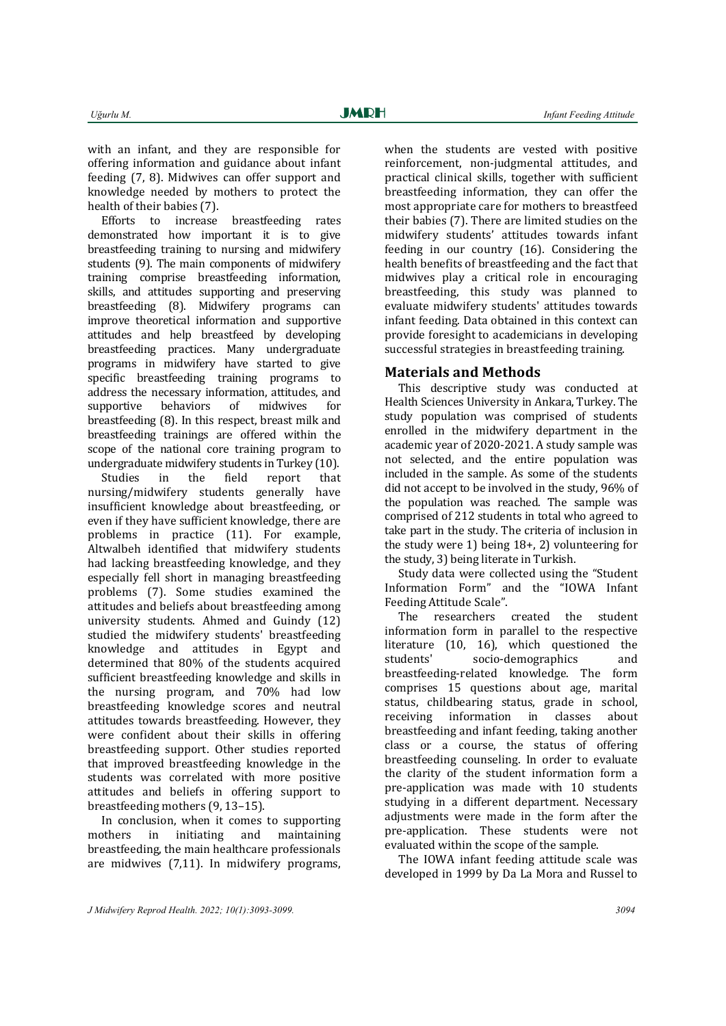with an infant, and they are responsible for offering information and guidance about infant feeding (7, 8). Midwives can offer support and knowledge needed by mothers to protect the health of their babies (7).

Efforts to increase breastfeeding rates demonstrated how important it is to give breastfeeding training to nursing and midwifery students (9). The main components of midwifery training comprise breastfeeding information, skills, and attitudes supporting and preserving breastfeeding (8). Midwifery programs can improve theoretical information and supportive attitudes and help breastfeed by developing breastfeeding practices. Many undergraduate programs in midwifery have started to give specific breastfeeding training programs to address the necessary information, attitudes, and supportive behaviors of midwives for breastfeeding (8). In this respect, breast milk and breastfeeding trainings are offered within the scope of the national core training program to undergraduate midwifery students in Turkey  $(10)$ .

Studies in the field report that nursing/midwifery students generally have insufficient knowledge about breastfeeding, or even if they have sufficient knowledge, there are problems in practice (11). For example, Altwalbeh identified that midwifery students had lacking breastfeeding knowledge, and they especially fell short in managing breastfeeding problems (7). Some studies examined the attitudes and beliefs about breastfeeding among university students. Ahmed and  $Guindy(12)$ studied the midwifery students' breastfeeding knowledge and attitudes in Egypt and determined that 80% of the students acquired sufficient breastfeeding knowledge and skills in the nursing program, and  $70\%$  had low breastfeeding knowledge scores and neutral attitudes towards breastfeeding. However, they were confident about their skills in offering breastfeeding support. Other studies reported that improved breastfeeding knowledge in the students was correlated with more positive attitudes and beliefs in offering support to breastfeeding mothers (9, 13-15).

In conclusion, when it comes to supporting mothers in initiating and maintaining breastfeeding, the main healthcare professionals are midwives  $(7,11)$ . In midwifery programs, when the students are vested with positive reinforcement, non-judgmental attitudes. and practical clinical skills, together with sufficient breastfeeding information, they can offer the most appropriate care for mothers to breastfeed their babies (7). There are limited studies on the midwifery students' attitudes towards infant feeding in our country  $(16)$ . Considering the health benefits of breastfeeding and the fact that midwives play a critical role in encouraging breastfeeding, this study was planned to evaluate midwifery students' attitudes towards infant feeding. Data obtained in this context can provide foresight to academicians in developing successful strategies in breastfeeding training.

# **Materials and Methods**

This descriptive study was conducted at Health Sciences University in Ankara, Turkey. The study population was comprised of students enrolled in the midwifery department in the academic vear of 2020-2021. A study sample was not selected, and the entire population was included in the sample. As some of the students did not accept to be involved in the study, 96% of the population was reached. The sample was comprised of 212 students in total who agreed to take part in the study. The criteria of inclusion in the study were  $1)$  being  $18+$ ,  $2)$  volunteering for the study, 3) being literate in Turkish.

Study data were collected using the "Student" Information Form" and the "IOWA Infant Feeding Attitude Scale".

The researchers created the student information form in parallel to the respective literature (10, 16), which questioned the students' socio-demographics and breastfeeding-related knowledge. The form comprises 15 questions about age, marital status, childbearing status, grade in school, receiving information in classes about breastfeeding and infant feeding, taking another class or a course, the status of offering breastfeeding counseling. In order to evaluate the clarity of the student information form a pre-application was made with 10 students studying in a different department. Necessary adjustments were made in the form after the pre-application. These students were not evaluated within the scope of the sample.

The IOWA infant feeding attitude scale was developed in 1999 by Da La Mora and Russel to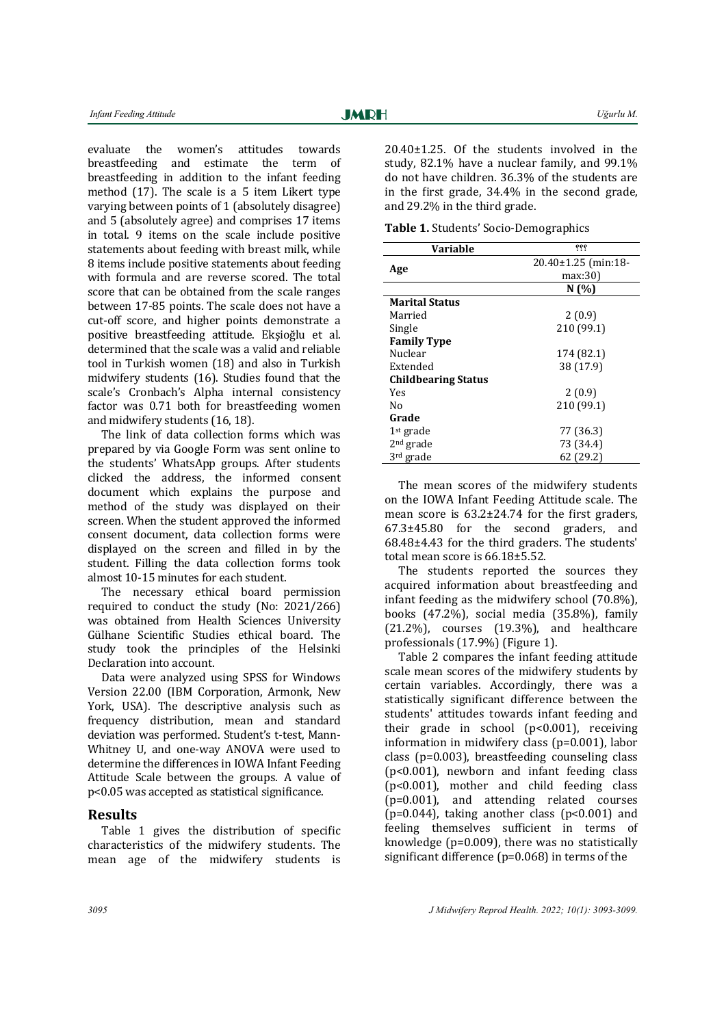evaluate the women's attitudes towards breastfeeding and estimate the term of breastfeeding in addition to the infant feeding method  $(17)$ . The scale is a 5 item Likert type varying between points of 1 (absolutely disagree) and 5 (absolutely agree) and comprises 17 items in total. 9 items on the scale include positive statements about feeding with breast milk, while 8 items include positive statements about feeding with formula and are reverse scored. The total score that can be obtained from the scale ranges between 17-85 points. The scale does not have a cut-off score, and higher points demonstrate a positive breastfeeding attitude. Ekşioğlu et al. determined that the scale was a valid and reliable tool in Turkish women (18) and also in Turkish midwifery students (16). Studies found that the scale's Cronbach's Alpha internal consistency factor was 0.71 both for breastfeeding women and midwifery students (16, 18).

The link of data collection forms which was prepared by via Google Form was sent online to the students' WhatsApp groups. After students clicked the address, the informed consent document which explains the purpose and method of the study was displayed on their screen. When the student approved the informed consent document, data collection forms were displayed on the screen and filled in by the student. Filling the data collection forms took almost 10-15 minutes for each student.

The necessary ethical board permission required to conduct the study (No:  $2021/266$ ) was obtained from Health Sciences University Gülhane Scientific Studies ethical board. The study took the principles of the Helsinki Declaration into account.

Data were analyzed using SPSS for Windows Version 22.00 (IBM Corporation, Armonk, New York, USA). The descriptive analysis such as frequency distribution, mean and standard deviation was performed. Student's t-test, Mann-Whitney U, and one-way ANOVA were used to determine the differences in IOWA Infant Feeding Attitude Scale between the groups. A value of p<0.05 was accepted as statistical significance.

## **Results**

Table 1 gives the distribution of specific characteristics of the midwifery students. The mean age of the midwifery students is

Ī

 $20.40\pm1.25$ . Of the students involved in the study,  $82.1\%$  have a nuclear family, and  $99.1\%$ do not have children. 36.3% of the students are in the first grade,  $34.4\%$  in the second grade, and 29.2% in the third grade.

**Table 1.** Students' Socio-Demographics

| Variable                   | ???                 |
|----------------------------|---------------------|
|                            | 20.40±1.25 (min:18- |
| Age                        | max:30              |
|                            | N (%)               |
| <b>Marital Status</b>      |                     |
| Married                    | 2(0.9)              |
| Single                     | 210 (99.1)          |
| <b>Family Type</b>         |                     |
| Nuclear                    | 174 (82.1)          |
| Extended                   | 38 (17.9)           |
| <b>Childbearing Status</b> |                     |
| Yes                        | 2(0.9)              |
| No                         | 210 (99.1)          |
| Grade                      |                     |
| $1st$ grade                | 77 (36.3)           |
| $2nd$ grade                | 73 (34.4)           |
| 3rd grade                  | 62 (29.2)           |

The mean scores of the midwifery students on the IOWA Infant Feeding Attitude scale. The mean score is  $63.2\pm24.74$  for the first graders,  $67.3\pm45.80$  for the second graders, and  $68.48\pm4.43$  for the third graders. The students' total mean score is  $66.18\pm5.52$ .

The students reported the sources they acquired information about breastfeeding and infant feeding as the midwifery school  $(70.8\%)$ , books  $(47.2\%)$ , social media  $(35.8\%)$ , family  $(21.2\%)$ , courses  $(19.3\%)$ , and healthcare professionals (17.9%) (Figure 1).

Table 2 compares the infant feeding attitude scale mean scores of the midwifery students by certain variables. Accordingly, there was a statistically significant difference between the students' attitudes towards infant feeding and their grade in school  $(p<0.001)$ , receiving information in midwifery class  $(p=0.001)$ , labor class  $(p=0.003)$ , breastfeeding counseling class  $(p<0.001)$ , newborn and infant feeding class  $(p<0.001)$ , mother and child feeding class (p=0.001), and attending related courses  $(p=0.044)$ , taking another class  $(p<0.001)$  and feeling themselves sufficient in terms of knowledge ( $p=0.009$ ), there was no statistically significant difference  $(p=0.068)$  in terms of the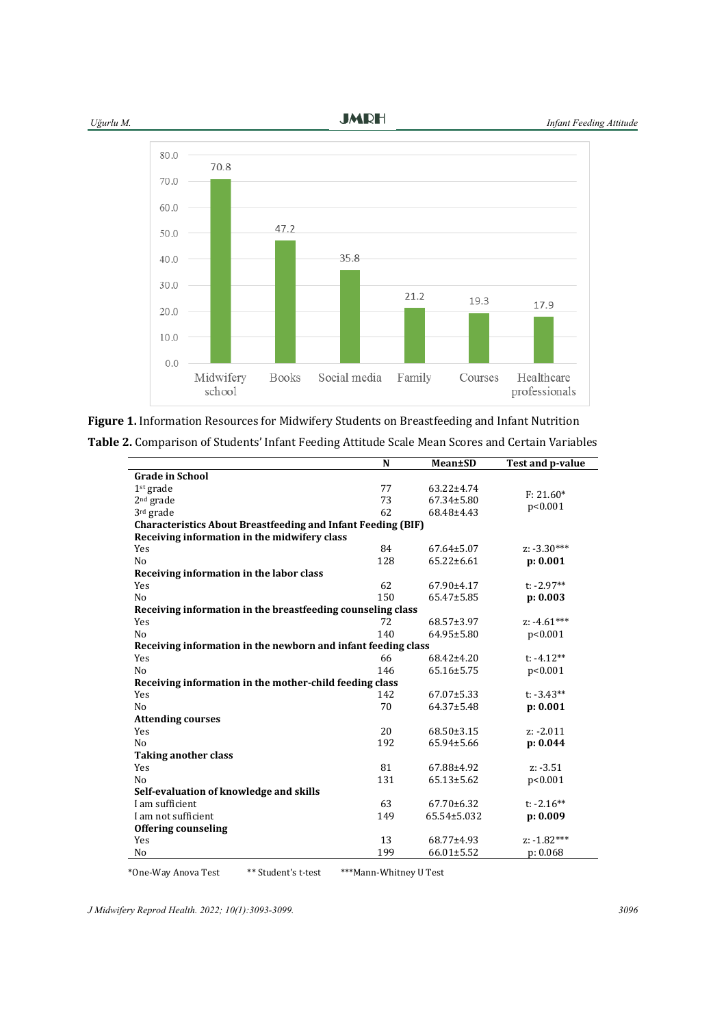

**JMRH** 



|  |  |  | Figure 1. Information Resources for Midwifery Students on Breastfeeding and Infant Nutrition |
|--|--|--|----------------------------------------------------------------------------------------------|
|  |  |  |                                                                                              |

| Table 2. Comparison of Students' Infant Feeding Attitude Scale Mean Scores and Certain Variables |  |
|--------------------------------------------------------------------------------------------------|--|
|--------------------------------------------------------------------------------------------------|--|

| <b>Grade in School</b><br>1 <sup>st</sup> grade<br>77<br>63.22±4.74<br>$F: 21.60*$<br>2 <sup>nd</sup> grade<br>73<br>67.34±5.80<br>p<0.001<br>3rd grade<br>62<br>68.48±4.43<br><b>Characteristics About Breastfeeding and Infant Feeding (BIF)</b><br>Receiving information in the midwifery class<br>Yes<br>84<br>$z: -3.30***$<br>$67.64 \pm 5.07$<br>128<br>$65.22 \pm 6.61$<br>N <sub>o</sub><br>p: 0.001<br>Receiving information in the labor class<br>62<br>$t: -2.97**$<br>67.90±4.17<br>Yes<br>150<br>N <sub>o</sub><br>p: 0.003<br>65.47±5.85 |
|---------------------------------------------------------------------------------------------------------------------------------------------------------------------------------------------------------------------------------------------------------------------------------------------------------------------------------------------------------------------------------------------------------------------------------------------------------------------------------------------------------------------------------------------------------|
|                                                                                                                                                                                                                                                                                                                                                                                                                                                                                                                                                         |
|                                                                                                                                                                                                                                                                                                                                                                                                                                                                                                                                                         |
|                                                                                                                                                                                                                                                                                                                                                                                                                                                                                                                                                         |
|                                                                                                                                                                                                                                                                                                                                                                                                                                                                                                                                                         |
|                                                                                                                                                                                                                                                                                                                                                                                                                                                                                                                                                         |
|                                                                                                                                                                                                                                                                                                                                                                                                                                                                                                                                                         |
|                                                                                                                                                                                                                                                                                                                                                                                                                                                                                                                                                         |
|                                                                                                                                                                                                                                                                                                                                                                                                                                                                                                                                                         |
|                                                                                                                                                                                                                                                                                                                                                                                                                                                                                                                                                         |
|                                                                                                                                                                                                                                                                                                                                                                                                                                                                                                                                                         |
|                                                                                                                                                                                                                                                                                                                                                                                                                                                                                                                                                         |
| Receiving information in the breastfeeding counseling class                                                                                                                                                                                                                                                                                                                                                                                                                                                                                             |
| $z: -4.61***$<br>Yes<br>72<br>68.57±3.97                                                                                                                                                                                                                                                                                                                                                                                                                                                                                                                |
| N <sub>o</sub><br>140<br>64.95±5.80<br>p<0.001                                                                                                                                                                                                                                                                                                                                                                                                                                                                                                          |
| Receiving information in the newborn and infant feeding class                                                                                                                                                                                                                                                                                                                                                                                                                                                                                           |
| 66<br>Yes<br>68.42±4.20<br>t: $-4.12**$                                                                                                                                                                                                                                                                                                                                                                                                                                                                                                                 |
| N <sub>o</sub><br>146<br>$65.16 \pm 5.75$<br>p<0.001                                                                                                                                                                                                                                                                                                                                                                                                                                                                                                    |
| Receiving information in the mother-child feeding class                                                                                                                                                                                                                                                                                                                                                                                                                                                                                                 |
| 142<br>$t: -3.43**$<br>Yes<br>$67.07 \pm 5.33$                                                                                                                                                                                                                                                                                                                                                                                                                                                                                                          |
| 70<br>p: 0.001<br>N <sub>o</sub><br>64.37±5.48                                                                                                                                                                                                                                                                                                                                                                                                                                                                                                          |
| <b>Attending courses</b>                                                                                                                                                                                                                                                                                                                                                                                                                                                                                                                                |
| 20<br>$68.50 \pm 3.15$<br>Yes<br>$z: -2.011$                                                                                                                                                                                                                                                                                                                                                                                                                                                                                                            |
| 192<br>N <sub>o</sub><br>65.94±5.66<br>p: 0.044                                                                                                                                                                                                                                                                                                                                                                                                                                                                                                         |
| <b>Taking another class</b>                                                                                                                                                                                                                                                                                                                                                                                                                                                                                                                             |
| 81<br>Yes<br>67.88±4.92<br>$z: -3.51$                                                                                                                                                                                                                                                                                                                                                                                                                                                                                                                   |
| 131<br>$65.13 \pm 5.62$<br>p<0.001<br>N <sub>o</sub>                                                                                                                                                                                                                                                                                                                                                                                                                                                                                                    |
| Self-evaluation of knowledge and skills                                                                                                                                                                                                                                                                                                                                                                                                                                                                                                                 |
| I am sufficient<br>63<br>$t$ : -2.16**<br>$67.70 \pm 6.32$                                                                                                                                                                                                                                                                                                                                                                                                                                                                                              |
| I am not sufficient<br>149<br>65.54±5.032<br>p: 0.009                                                                                                                                                                                                                                                                                                                                                                                                                                                                                                   |
| <b>Offering counseling</b>                                                                                                                                                                                                                                                                                                                                                                                                                                                                                                                              |
| $z: -1.82***$<br>13<br>Yes<br>68.77±4.93                                                                                                                                                                                                                                                                                                                                                                                                                                                                                                                |
| 199<br>66.01±5.52<br>p: 0.068<br>No                                                                                                                                                                                                                                                                                                                                                                                                                                                                                                                     |

 \*One‐Way Anova Test \*\* Student's t‐test \*\*\*Mann‐Whitney U Test

*J Midwifery Reprod Health. 2022; 10(1):3093-3099. 3096*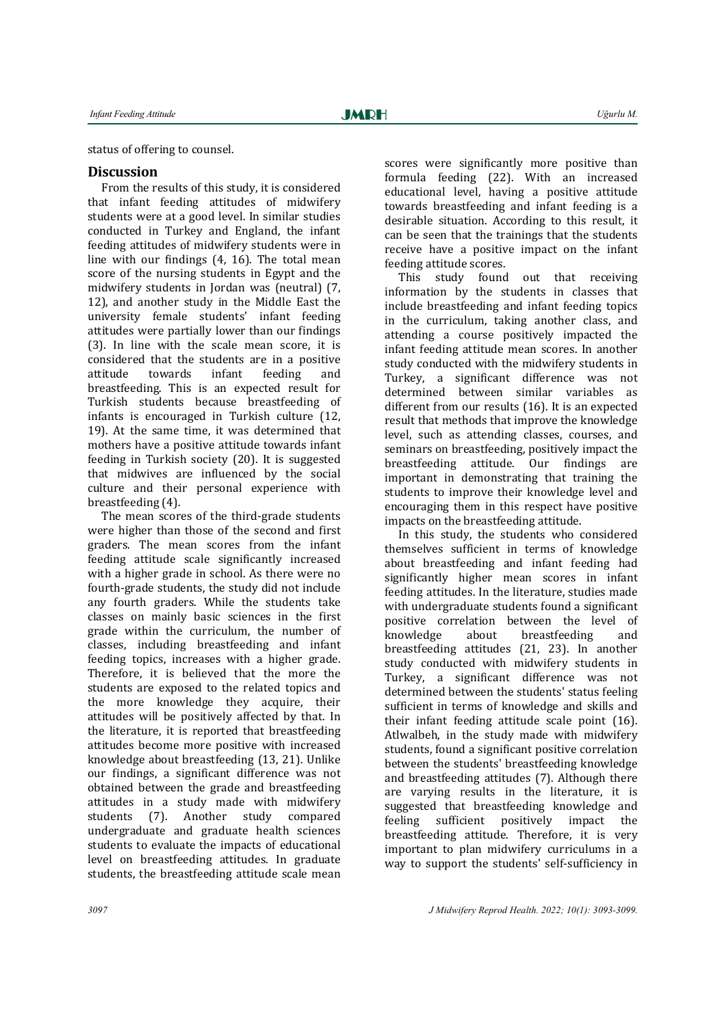status of offering to counsel.

# **Discussion**

From the results of this study, it is considered that infant feeding attitudes of midwiferv students were at a good level. In similar studies conducted in Turkey and England, the infant feeding attitudes of midwifery students were in line with our findings  $(4, 16)$ . The total mean score of the nursing students in Egypt and the midwifery students in Jordan was (neutral) (7, 12), and another study in the Middle East the university female students' infant feeding attitudes were partially lower than our findings (3). In line with the scale mean score, it is considered that the students are in a positive attitude towards infant feeding and breastfeeding. This is an expected result for Turkish students because breastfeeding of infants is encouraged in Turkish culture  $(12, 12)$ 19). At the same time, it was determined that mothers have a positive attitude towards infant feeding in Turkish society (20). It is suggested that midwives are influenced by the social culture and their personal experience with breastfeeding  $(4)$ .

The mean scores of the third-grade students were higher than those of the second and first graders. The mean scores from the infant feeding attitude scale significantly increased with a higher grade in school. As there were no fourth-grade students, the study did not include any fourth graders. While the students take classes on mainly basic sciences in the first grade within the curriculum, the number of classes, including breastfeeding and infant feeding topics, increases with a higher grade. Therefore, it is believed that the more the students are exposed to the related topics and the more knowledge they acquire, their attitudes will be positively affected by that. In the literature, it is reported that breastfeeding attitudes become more positive with increased knowledge about breastfeeding (13, 21). Unlike our findings, a significant difference was not obtained between the grade and breastfeeding attitudes in a study made with midwifery students (7). Another study compared undergraduate and graduate health sciences students to evaluate the impacts of educational level on breastfeeding attitudes. In graduate students, the breastfeeding attitude scale mean

scores were significantly more positive than formula feeding (22). With an increased educational level, having a positive attitude

towards breastfeeding and infant feeding is a desirable situation. According to this result, it can be seen that the trainings that the students receive have a positive impact on the infant feeding attitude scores.

This study found out that receiving information by the students in classes that include breastfeeding and infant feeding topics in the curriculum, taking another class, and attending a course positively impacted the infant feeding attitude mean scores. In another study conducted with the midwifery students in Turkey, a significant difference was not determined between similar variables as different from our results  $(16)$ . It is an expected result that methods that improve the knowledge level, such as attending classes, courses, and seminars on breastfeeding, positively impact the breastfeeding attitude. Our findings are important in demonstrating that training the students to improve their knowledge level and encouraging them in this respect have positive impacts on the breastfeeding attitude.

In this study, the students who considered themselves sufficient in terms of knowledge about breastfeeding and infant feeding had significantly higher mean scores in infant feeding attitudes. In the literature, studies made with undergraduate students found a significant positive correlation between the level of knowledge about breastfeeding and breastfeeding attitudes (21, 23). In another study conducted with midwifery students in Turkey, a significant difference was not determined between the students' status feeling sufficient in terms of knowledge and skills and their infant feeding attitude scale point  $(16)$ . Atlwalbeh, in the study made with midwifery students, found a significant positive correlation between the students' breastfeeding knowledge and breastfeeding attitudes (7). Although there are varying results in the literature, it is suggested that breastfeeding knowledge and feeling sufficient positively impact the breastfeeding attitude. Therefore, it is very important to plan midwifery curriculums in a way to support the students' self-sufficiency in

Ī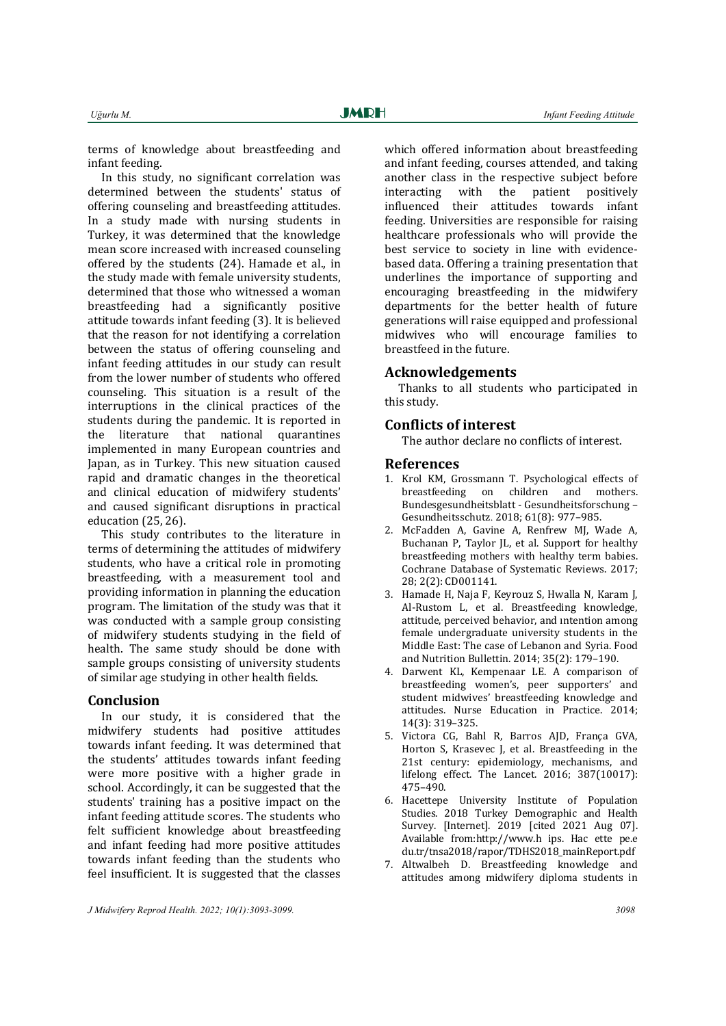terms of knowledge about breastfeeding and infant feeding.

In this study, no significant correlation was determined between the students' status of offering counseling and breastfeeding attitudes. In a study made with nursing students in Turkey, it was determined that the knowledge mean score increased with increased counseling offered by the students (24). Hamade et al., in the study made with female university students, determined that those who witnessed a woman breastfeeding had a significantly positive attitude towards infant feeding (3). It is believed that the reason for not identifying a correlation between the status of offering counseling and infant feeding attitudes in our study can result from the lower number of students who offered counseling. This situation is a result of the interruptions in the clinical practices of the students during the pandemic. It is reported in the literature that national quarantines implemented in many European countries and Japan, as in Turkey. This new situation caused rapid and dramatic changes in the theoretical and clinical education of midwifery students' and caused significant disruptions in practical education  $(25, 26)$ .

This study contributes to the literature in terms of determining the attitudes of midwifery students, who have a critical role in promoting breastfeeding, with a measurement tool and providing information in planning the education program. The limitation of the study was that it was conducted with a sample group consisting of midwifery students studying in the field of health. The same study should be done with sample groups consisting of university students of similar age studying in other health fields.

#### **Conclusion**

In our study, it is considered that the midwifery students had positive attitudes towards infant feeding. It was determined that the students' attitudes towards infant feeding were more positive with a higher grade in school. Accordingly, it can be suggested that the students' training has a positive impact on the infant feeding attitude scores. The students who felt sufficient knowledge about breastfeeding and infant feeding had more positive attitudes towards infant feeding than the students who feel insufficient. It is suggested that the classes

which offered information about breastfeeding and infant feeding, courses attended, and taking another class in the respective subject before interacting with the patient positively influenced their attitudes towards infant feeding. Universities are responsible for raising healthcare professionals who will provide the best service to society in line with evidencebased data. Offering a training presentation that underlines the importance of supporting and encouraging breastfeeding in the midwifery departments for the better health of future generations will raise equipped and professional midwives who will encourage families to breastfeed in the future.

#### **Acknowledgements**

Thanks to all students who participated in this study.

## **Conflicts of interest**

The author declare no conflicts of interest.

#### **References**

- 1. Krol KM, Grossmann T. Psychological effects of breastfeeding on children and mothers. Bundesgesundheitsblatt - Gesundheitsforschung – Gesundheitsschutz. 2018; 61(8): 977–985.
- 2. McFadden A, Gavine A, Renfrew MI, Wade A, Buchanan P, Taylor JL, et al. Support for healthy breastfeeding mothers with healthy term babies. Cochrane Database of Systematic Reviews. 2017; 28: 2(2): CD001141.
- 3. Hamade H, Naja F, Keyrouz S, Hwalla N, Karam J, Al-Rustom L, et al. Breastfeeding knowledge, attitude, perceived behavior, and intention among female undergraduate university students in the Middle East: The case of Lebanon and Syria. Food and Nutrition Bullettin. 2014; 35(2): 179-190.
- 4. Darwent KL, Kempenaar LE. A comparison of breastfeeding women's, peer supporters' and student midwives' breastfeeding knowledge and attitudes. Nurse Education in Practice. 2014; 14(3): 319–325.
- 5. Victora CG, Bahl R, Barros AJD, França GVA, Horton S, Krasevec J, et al. Breastfeeding in the 21st century: epidemiology, mechanisms, and lifelong effect. The Lancet. 2016; 387(10017): 475–490.
- 6. Hacettepe University Institute of Population Studies. 2018 Turkey Demographic and Health Survey. [Internet]. 2019 [cited 2021 Aug 07]. Available from:http://www.h ips. Hac ette pe.e du.tr/tnsa2018/rapor/TDHS2018\_mainReport.pdf
- 7. Altwalbeh D. Breastfeeding knowledge and attitudes among midwifery diploma students in